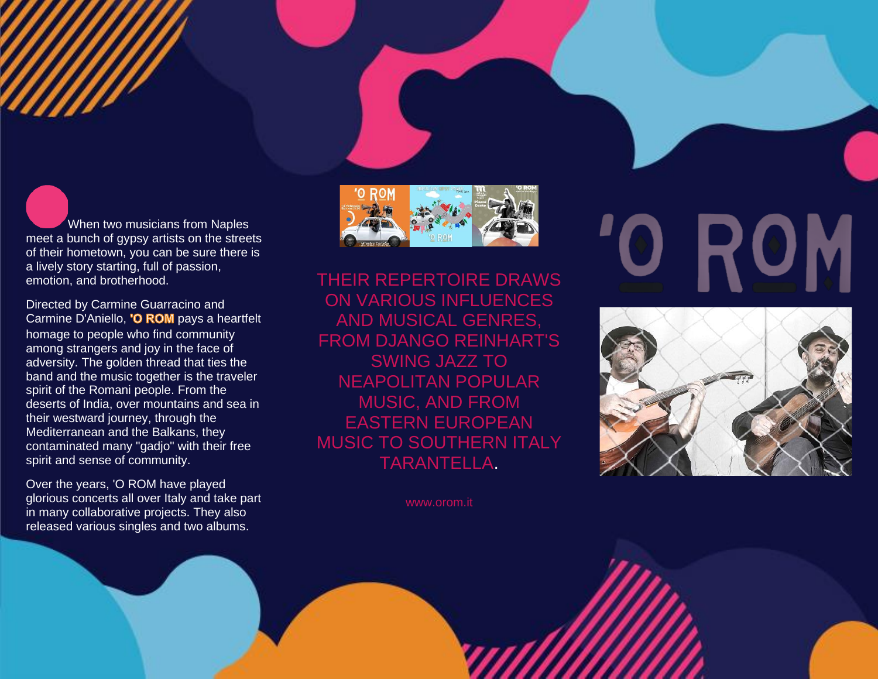When two musicians from Naples meet a bunch of gypsy artists on the streets of their hometown, you can be sure there is a lively story starting, full of passion, emotion, and brotherhood.

Directed by Carmine Guarracino and Carmine D'Aniello, 'O ROM pays a heartfelt homage to people who find community among strangers and joy in the face of adversity. The golden thread that ties the band and the music together is the traveler spirit of the Romani people. From the deserts of India, over mountains and sea in their westward journey, through the Mediterranean and the Balkans, they contaminated many "gadjo" with their free spirit and sense of community.

Over the years, 'O ROM have played glorious concerts all over Italy and take part in many collaborative projects. They also released various singles and two albums.



THEIR REPERTOIRE DRAWS ON VARIOUS INFLUENCES AND MUSICAL GENRES, FROM DJANGO REINHART'S SWING JAZZ TO NEAPOLITAN POPULAR MUSIC, AND FROM EASTERN EUROPEAN MUSIC TO SOUTHERN ITALY TARANTELLA.

www.orom.it